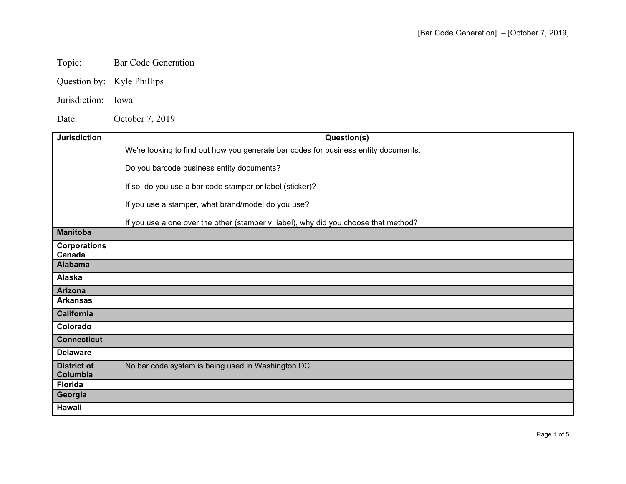## Topic: Bar Code Generation

Question by: Kyle Phillips

## Jurisdiction: Iowa

Date: October 7, 2019

| <b>Jurisdiction</b>            | Question(s)                                                                         |
|--------------------------------|-------------------------------------------------------------------------------------|
|                                | We're looking to find out how you generate bar codes for business entity documents. |
|                                | Do you barcode business entity documents?                                           |
|                                | If so, do you use a bar code stamper or label (sticker)?                            |
|                                | If you use a stamper, what brand/model do you use?                                  |
|                                | If you use a one over the other (stamper v. label), why did you choose that method? |
| <b>Manitoba</b>                |                                                                                     |
| <b>Corporations</b><br>Canada  |                                                                                     |
| <b>Alabama</b>                 |                                                                                     |
| Alaska                         |                                                                                     |
| <b>Arizona</b>                 |                                                                                     |
| <b>Arkansas</b>                |                                                                                     |
| <b>California</b>              |                                                                                     |
| Colorado                       |                                                                                     |
| <b>Connecticut</b>             |                                                                                     |
| <b>Delaware</b>                |                                                                                     |
| <b>District of</b><br>Columbia | No bar code system is being used in Washington DC.                                  |
| <b>Florida</b>                 |                                                                                     |
| Georgia                        |                                                                                     |
| Hawaii                         |                                                                                     |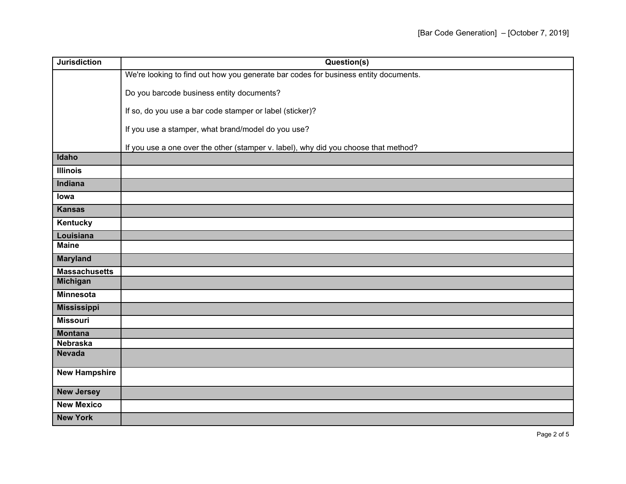| <b>Jurisdiction</b>  | Question(s)                                                                         |
|----------------------|-------------------------------------------------------------------------------------|
|                      | We're looking to find out how you generate bar codes for business entity documents. |
|                      | Do you barcode business entity documents?                                           |
|                      | If so, do you use a bar code stamper or label (sticker)?                            |
|                      | If you use a stamper, what brand/model do you use?                                  |
|                      | If you use a one over the other (stamper v. label), why did you choose that method? |
| Idaho                |                                                                                     |
| <b>Illinois</b>      |                                                                                     |
| Indiana              |                                                                                     |
| lowa                 |                                                                                     |
| <b>Kansas</b>        |                                                                                     |
| Kentucky             |                                                                                     |
| Louisiana            |                                                                                     |
| <b>Maine</b>         |                                                                                     |
| <b>Maryland</b>      |                                                                                     |
| <b>Massachusetts</b> |                                                                                     |
| <b>Michigan</b>      |                                                                                     |
| <b>Minnesota</b>     |                                                                                     |
| <b>Mississippi</b>   |                                                                                     |
| <b>Missouri</b>      |                                                                                     |
| <b>Montana</b>       |                                                                                     |
| <b>Nebraska</b>      |                                                                                     |
| <b>Nevada</b>        |                                                                                     |
| <b>New Hampshire</b> |                                                                                     |
| <b>New Jersey</b>    |                                                                                     |
| <b>New Mexico</b>    |                                                                                     |
| <b>New York</b>      |                                                                                     |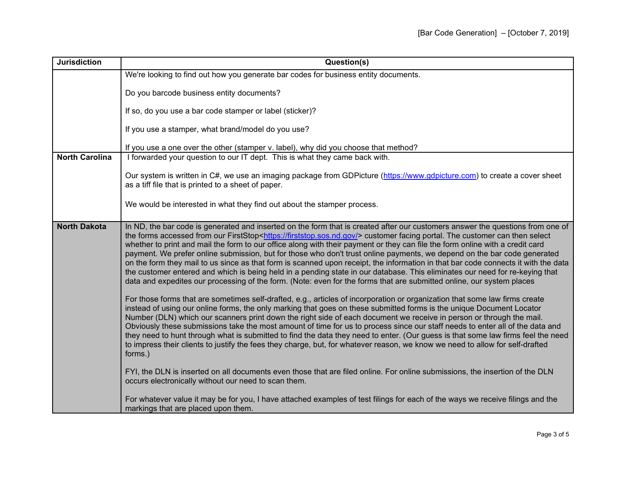| <b>Jurisdiction</b>   | Question(s)                                                                                                                                                                                                                                                                                                                                                                                                                                                                                                                                                                                                                                                                                                                                                                                                                                                                                                                        |
|-----------------------|------------------------------------------------------------------------------------------------------------------------------------------------------------------------------------------------------------------------------------------------------------------------------------------------------------------------------------------------------------------------------------------------------------------------------------------------------------------------------------------------------------------------------------------------------------------------------------------------------------------------------------------------------------------------------------------------------------------------------------------------------------------------------------------------------------------------------------------------------------------------------------------------------------------------------------|
|                       | We're looking to find out how you generate bar codes for business entity documents.                                                                                                                                                                                                                                                                                                                                                                                                                                                                                                                                                                                                                                                                                                                                                                                                                                                |
|                       | Do you barcode business entity documents?                                                                                                                                                                                                                                                                                                                                                                                                                                                                                                                                                                                                                                                                                                                                                                                                                                                                                          |
|                       | If so, do you use a bar code stamper or label (sticker)?                                                                                                                                                                                                                                                                                                                                                                                                                                                                                                                                                                                                                                                                                                                                                                                                                                                                           |
|                       | If you use a stamper, what brand/model do you use?                                                                                                                                                                                                                                                                                                                                                                                                                                                                                                                                                                                                                                                                                                                                                                                                                                                                                 |
|                       | If you use a one over the other (stamper v. label), why did you choose that method?                                                                                                                                                                                                                                                                                                                                                                                                                                                                                                                                                                                                                                                                                                                                                                                                                                                |
| <b>North Carolina</b> | I forwarded your question to our IT dept. This is what they came back with.                                                                                                                                                                                                                                                                                                                                                                                                                                                                                                                                                                                                                                                                                                                                                                                                                                                        |
|                       | Our system is written in C#, we use an imaging package from GDPicture (https://www.gdpicture.com) to create a cover sheet<br>as a tiff file that is printed to a sheet of paper.                                                                                                                                                                                                                                                                                                                                                                                                                                                                                                                                                                                                                                                                                                                                                   |
|                       | We would be interested in what they find out about the stamper process.                                                                                                                                                                                                                                                                                                                                                                                                                                                                                                                                                                                                                                                                                                                                                                                                                                                            |
| <b>North Dakota</b>   | In ND, the bar code is generated and inserted on the form that is created after our customers answer the questions from one of<br>the forms accessed from our FirstStop <https: firststop.sos.nd.gov=""></https:> customer facing portal. The customer can then select<br>whether to print and mail the form to our office along with their payment or they can file the form online with a credit card<br>payment. We prefer online submission, but for those who don't trust online payments, we depend on the bar code generated<br>on the form they mail to us since as that form is scanned upon receipt, the information in that bar code connects it with the data<br>the customer entered and which is being held in a pending state in our database. This eliminates our need for re-keying that<br>data and expedites our processing of the form. (Note: even for the forms that are submitted online, our system places |
|                       | For those forms that are sometimes self-drafted, e.g., articles of incorporation or organization that some law firms create<br>instead of using our online forms, the only marking that goes on these submitted forms is the unique Document Locator<br>Number (DLN) which our scanners print down the right side of each document we receive in person or through the mail.<br>Obviously these submissions take the most amount of time for us to process since our staff needs to enter all of the data and<br>they need to hunt through what is submitted to find the data they need to enter. (Our guess is that some law firms feel the need<br>to impress their clients to justify the fees they charge, but, for whatever reason, we know we need to allow for self-drafted<br>forms.)                                                                                                                                      |
|                       | FYI, the DLN is inserted on all documents even those that are filed online. For online submissions, the insertion of the DLN<br>occurs electronically without our need to scan them.                                                                                                                                                                                                                                                                                                                                                                                                                                                                                                                                                                                                                                                                                                                                               |
|                       | For whatever value it may be for you, I have attached examples of test filings for each of the ways we receive filings and the<br>markings that are placed upon them.                                                                                                                                                                                                                                                                                                                                                                                                                                                                                                                                                                                                                                                                                                                                                              |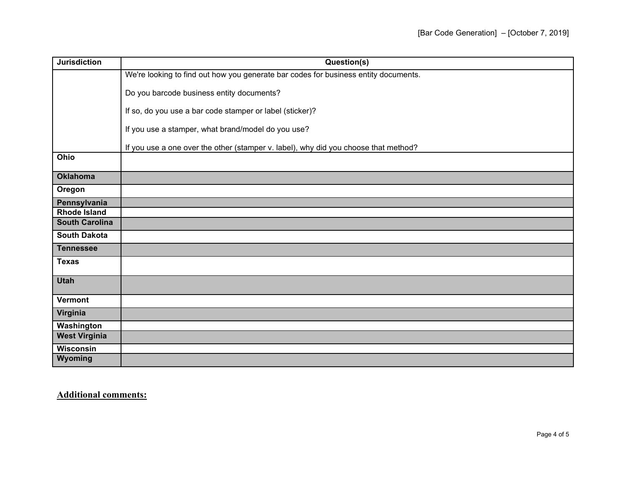| <b>Jurisdiction</b>   | Question(s)                                                                         |
|-----------------------|-------------------------------------------------------------------------------------|
|                       | We're looking to find out how you generate bar codes for business entity documents. |
|                       | Do you barcode business entity documents?                                           |
|                       | If so, do you use a bar code stamper or label (sticker)?                            |
|                       |                                                                                     |
|                       | If you use a stamper, what brand/model do you use?                                  |
|                       | If you use a one over the other (stamper v. label), why did you choose that method? |
| Ohio                  |                                                                                     |
| <b>Oklahoma</b>       |                                                                                     |
| Oregon                |                                                                                     |
| Pennsylvania          |                                                                                     |
| <b>Rhode Island</b>   |                                                                                     |
| <b>South Carolina</b> |                                                                                     |
| <b>South Dakota</b>   |                                                                                     |
| <b>Tennessee</b>      |                                                                                     |
| <b>Texas</b>          |                                                                                     |
| <b>Utah</b>           |                                                                                     |
| <b>Vermont</b>        |                                                                                     |
| Virginia              |                                                                                     |
| Washington            |                                                                                     |
| <b>West Virginia</b>  |                                                                                     |
| Wisconsin             |                                                                                     |
| Wyoming               |                                                                                     |

**Additional comments:**